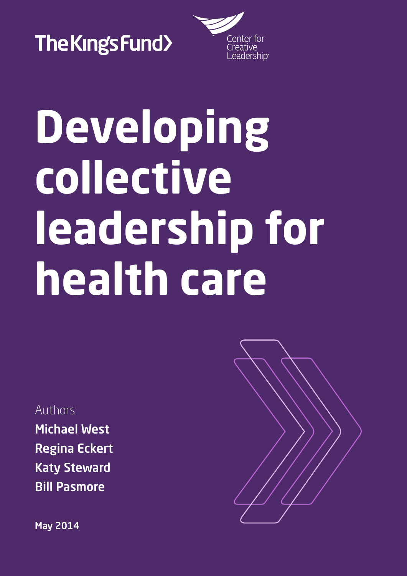

Center for Ireative<br>Leadership

# **Developing collective leadership for health care**

Authors

Michael West Regina Eckert Katy Steward Bill Pasmore

May 2014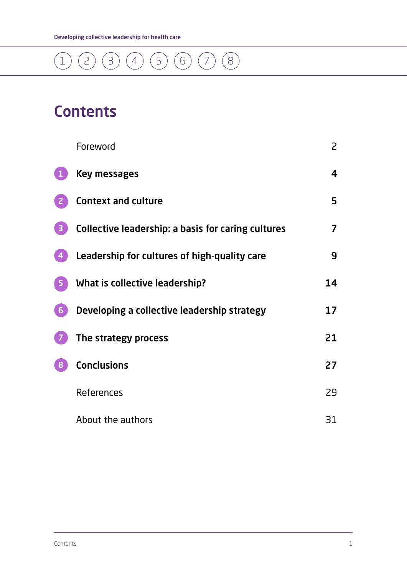

### **Contents**

|                  | Foreword                                           | $\mathsf{S}$ |
|------------------|----------------------------------------------------|--------------|
|                  | Key messages                                       | 4            |
|                  | <b>Context and culture</b>                         | 5            |
|                  | Collective leadership: a basis for caring cultures | 7            |
|                  | Leadership for cultures of high-quality care       | 9            |
|                  | What is collective leadership?                     | 14           |
| $6 \overline{6}$ | Developing a collective leadership strategy        | 17           |
|                  | The strategy process                               | 21           |
| 8                | <b>Conclusions</b>                                 | 27           |
|                  | References                                         | 29           |
|                  | About the authors                                  | 31           |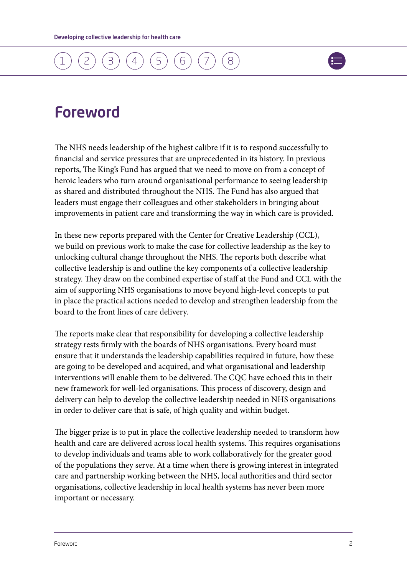

### <span id="page-2-0"></span>Foreword

The NHS needs leadership of the highest calibre if it is to respond successfully to financial and service pressures that are unprecedented in its history. In previous reports, The King's Fund has argued that we need to move on from a concept of heroic leaders who turn around organisational performance to seeing leadership as shared and distributed throughout the NHS. The Fund has also argued that leaders must engage their colleagues and other stakeholders in bringing about improvements in patient care and transforming the way in which care is provided.

In these new reports prepared with the Center for Creative Leadership (CCL), we build on previous work to make the case for collective leadership as the key to unlocking cultural change throughout the NHS. The reports both describe what collective leadership is and outline the key components of a collective leadership strategy. They draw on the combined expertise of staff at the Fund and CCL with the aim of supporting NHS organisations to move beyond high-level concepts to put in place the practical actions needed to develop and strengthen leadership from the board to the front lines of care delivery.

The reports make clear that responsibility for developing a collective leadership strategy rests firmly with the boards of NHS organisations. Every board must ensure that it understands the leadership capabilities required in future, how these are going to be developed and acquired, and what organisational and leadership interventions will enable them to be delivered. The CQC have echoed this in their new framework for well-led organisations. This process of discovery, design and delivery can help to develop the collective leadership needed in NHS organisations in order to deliver care that is safe, of high quality and within budget.

The bigger prize is to put in place the collective leadership needed to transform how health and care are delivered across local health systems. This requires organisations to develop individuals and teams able to work collaboratively for the greater good of the populations they serve. At a time when there is growing interest in integrated care and partnership working between the NHS, local authorities and third sector organisations, collective leadership in local health systems has never been more important or necessary.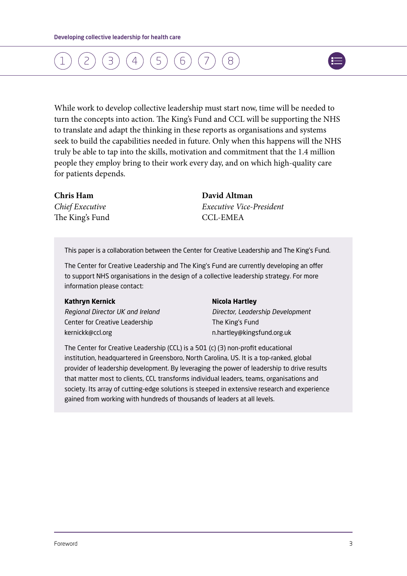

While work to develop collective leadership must start now, time will be needed to turn the concepts into action. The King's Fund and CCL will be supporting the NHS to translate and adapt the thinking in these reports as organisations and systems seek to build the capabilities needed in future. Only when this happens will the NHS truly be able to tap into the skills, motivation and commitment that the 1.4 million people they employ bring to their work every day, and on which high-quality care for patients depends.

The King's Fund CCL-EMEA

**Chris Ham David Altman** *Chief Executive Executive Vice-President*

This paper is a collaboration between the Center for Creative Leadership and The King's Fund.

The Center for Creative Leadership and The King's Fund are currently developing an offer to support NHS organisations in the design of a collective leadership strategy. For more information please contact:

#### **Kathryn Kernick** *Nicola Hartley*

Center for Creative Leadership The King's Fund [kernickk@ccl.org](mailto:kernickk@ccl.org) [n.hartley@kingsfund.org.uk](mailto:n.hartley@kingsfund.org.uk)

*Regional Director UK and Ireland Director, Leadership Development*

The Center for Creative Leadership (CCL) is a 501 (c) (3) non-profit educational institution, headquartered in Greensboro, North Carolina, US. It is a top-ranked, global provider of leadership development. By leveraging the power of leadership to drive results that matter most to clients, CCL transforms individual leaders, teams, organisations and society. Its array of cutting-edge solutions is steeped in extensive research and experience gained from working with hundreds of thousands of leaders at all levels.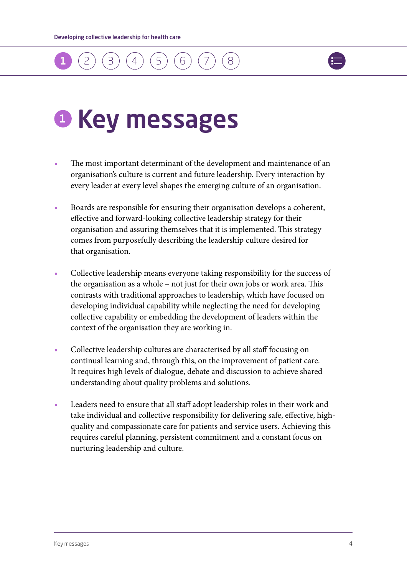

# <span id="page-4-0"></span>**O** Key messages

- **•** The most important determinant of the development and maintenance of an organisation's culture is current and future leadership. Every interaction by every leader at every level shapes the emerging culture of an organisation.
- **•** Boards are responsible for ensuring their organisation develops a coherent, effective and forward-looking collective leadership strategy for their organisation and assuring themselves that it is implemented. This strategy comes from purposefully describing the leadership culture desired for that organisation.
- **•** Collective leadership means everyone taking responsibility for the success of the organisation as a whole – not just for their own jobs or work area. This contrasts with traditional approaches to leadership, which have focused on developing individual capability while neglecting the need for developing collective capability or embedding the development of leaders within the context of the organisation they are working in.
- **•** Collective leadership cultures are characterised by all staff focusing on continual learning and, through this, on the improvement of patient care. It requires high levels of dialogue, debate and discussion to achieve shared understanding about quality problems and solutions.
- **•** Leaders need to ensure that all staff adopt leadership roles in their work and take individual and collective responsibility for delivering safe, effective, highquality and compassionate care for patients and service users. Achieving this requires careful planning, persistent commitment and a constant focus on nurturing leadership and culture.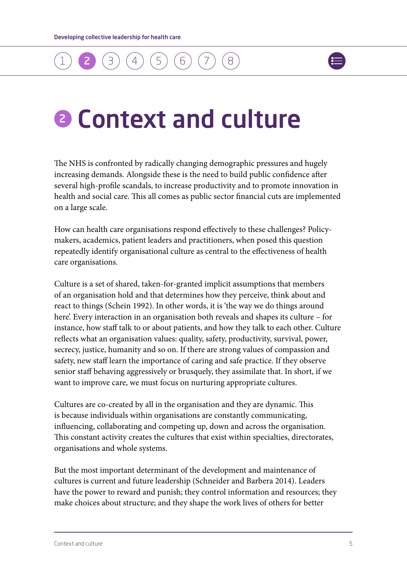

### <span id="page-5-0"></span>2 Context and culture

The NHS is confronted by radically changing demographic pressures and hugely increasing demands. Alongside these is the need to build public confidence after several high-profile scandals, to increase productivity and to promote innovation in health and social care. This all comes as public sector financial cuts are implemented on a large scale.

How can health care organisations respond effectively to these challenges? Policymakers, academics, patient leaders and practitioners, when posed this question repeatedly identify organisational culture as central to the effectiveness of health care organisations.

Culture is a set of shared, taken-for-granted implicit assumptions that members of an organisation hold and that determines how they perceive, think about and react to things (Schein 1992). In other words, it is 'the way we do things around here'. Every interaction in an organisation both reveals and shapes its culture – for instance, how staff talk to or about patients, and how they talk to each other. Culture reflects what an organisation values: quality, safety, productivity, survival, power, secrecy, justice, humanity and so on. If there are strong values of compassion and safety, new staff learn the importance of caring and safe practice. If they observe senior staff behaving aggressively or brusquely, they assimilate that. In short, if we want to improve care, we must focus on nurturing appropriate cultures.

Cultures are co-created by all in the organisation and they are dynamic. This is because individuals within organisations are constantly communicating, influencing, collaborating and competing up, down and across the organisation. This constant activity creates the cultures that exist within specialties, directorates, organisations and whole systems.

But the most important determinant of the development and maintenance of cultures is current and future leadership (Schneider and Barbera 2014). Leaders have the power to reward and punish; they control information and resources; they make choices about structure; and they shape the work lives of others for better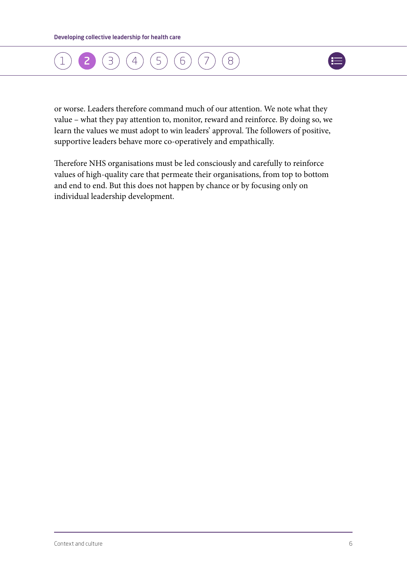



or worse. Leaders therefore command much of our attention. We note what they value – what they pay attention to, monitor, reward and reinforce. By doing so, we learn the values we must adopt to win leaders' approval. The followers of positive, supportive leaders behave more co-operatively and empathically.

Therefore NHS organisations must be led consciously and carefully to reinforce values of high-quality care that permeate their organisations, from top to bottom and end to end. But this does not happen by chance or by focusing only on individual leadership development.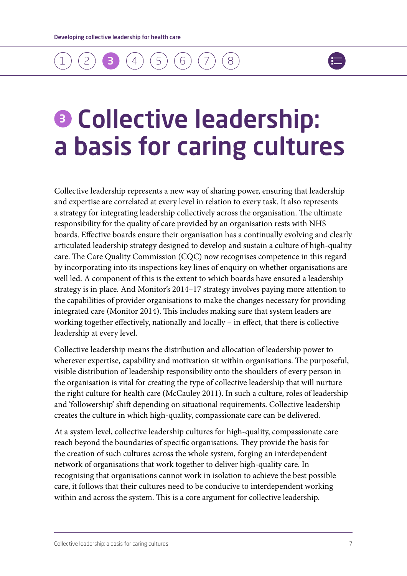### <span id="page-7-0"></span>[1](#page-4-0) ) ([2](#page-5-0) ) (**3 )** ([4](#page-9-0) ) ([5](#page-14-0) ) ([6](#page-17-0) ) ([7](#page-21-0) [8](#page-21-0)



### **8 Collective leadership:** a basis for caring cultures

Collective leadership represents a new way of sharing power, ensuring that leadership and expertise are correlated at every level in relation to every task. It also represents a strategy for integrating leadership collectively across the organisation. The ultimate responsibility for the quality of care provided by an organisation rests with NHS boards. Effective boards ensure their organisation has a continually evolving and clearly articulated leadership strategy designed to develop and sustain a culture of high-quality care. The Care Quality Commission (CQC) now recognises competence in this regard by incorporating into its inspections key lines of enquiry on whether organisations are well led. A component of this is the extent to which boards have ensured a leadership strategy is in place. And Monitor's 2014–17 strategy involves paying more attention to the capabilities of provider organisations to make the changes necessary for providing integrated care (Monitor 2014). This includes making sure that system leaders are working together effectively, nationally and locally – in effect, that there is collective leadership at every level.

Collective leadership means the distribution and allocation of leadership power to wherever expertise, capability and motivation sit within organisations. The purposeful, visible distribution of leadership responsibility onto the shoulders of every person in the organisation is vital for creating the type of collective leadership that will nurture the right culture for health care (McCauley 2011). In such a culture, roles of leadership and 'followership' shift depending on situational requirements. Collective leadership creates the culture in which high-quality, compassionate care can be delivered.

At a system level, collective leadership cultures for high-quality, compassionate care reach beyond the boundaries of specific organisations. They provide the basis for the creation of such cultures across the whole system, forging an interdependent network of organisations that work together to deliver high-quality care. In recognising that organisations cannot work in isolation to achieve the best possible care, it follows that their cultures need to be conducive to interdependent working within and across the system. This is a core argument for collective leadership.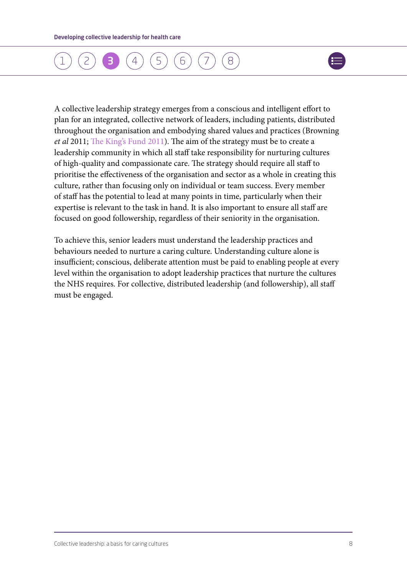### [1](#page-4-0) ) ([2](#page-5-0) ) (**[3](#page-7-0) )** ([4](#page-9-0) ) ([5](#page-14-0) ) ([6](#page-17-0) ) ([7](#page-21-0) [8](#page-21-0)



A collective leadership strategy emerges from a conscious and intelligent effort to plan for an integrated, collective network of leaders, including patients, distributed throughout the organisation and embodying shared values and practices (Browning *et al* 2011; [The King's Fund 2011](www.kingsfund.org.uk/publications/future-leadership-and-management-nhs)). The aim of the strategy must be to create a leadership community in which all staff take responsibility for nurturing cultures of high-quality and compassionate care. The strategy should require all staff to prioritise the effectiveness of the organisation and sector as a whole in creating this culture, rather than focusing only on individual or team success. Every member of staff has the potential to lead at many points in time, particularly when their expertise is relevant to the task in hand. It is also important to ensure all staff are focused on good followership, regardless of their seniority in the organisation.

To achieve this, senior leaders must understand the leadership practices and behaviours needed to nurture a caring culture. Understanding culture alone is insufficient; conscious, deliberate attention must be paid to enabling people at every level within the organisation to adopt leadership practices that nurture the cultures the NHS requires. For collective, distributed leadership (and followership), all staff must be engaged.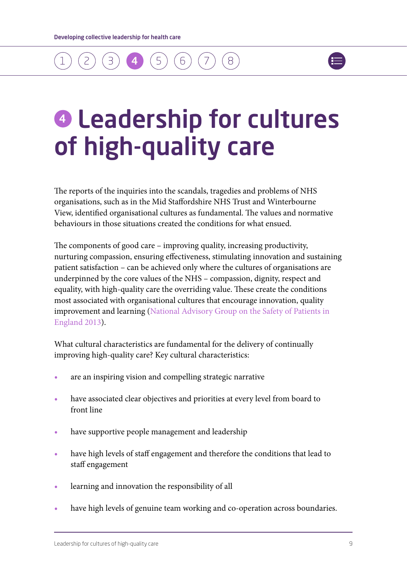### <span id="page-9-0"></span>[1](#page-4-0) ) ([2](#page-5-0) ) ([3](#page-7-0) ) (4 ) ([5](#page-14-0) ) ([6](#page-17-0) ) ([7](#page-21-0)  $(8)$  $(8)$  $(8)$



# $\bullet$  **Leadership for cultures** of high-quality care

The reports of the inquiries into the scandals, tragedies and problems of NHS organisations, such as in the Mid Staffordshire NHS Trust and Winterbourne View, identified organisational cultures as fundamental. The values and normative behaviours in those situations created the conditions for what ensued.

The components of good care – improving quality, increasing productivity, nurturing compassion, ensuring effectiveness, stimulating innovation and sustaining patient satisfaction – can be achieved only where the cultures of organisations are underpinned by the core values of the NHS – compassion, dignity, respect and equality, with high-quality care the overriding value. These create the conditions most associated with organisational cultures that encourage innovation, quality improvement and learning ([National Advisory Group on the Safety of Patients in](www.gov.uk/government/publications/berwick-review-into-patient-safety)  [England](www.gov.uk/government/publications/berwick-review-into-patient-safety) 2013).

What cultural characteristics are fundamental for the delivery of continually improving high-quality care? Key cultural characteristics:

- **•** are an inspiring vision and compelling strategic narrative
- **•** have associated clear objectives and priorities at every level from board to front line
- **•** have supportive people management and leadership
- **•** have high levels of staff engagement and therefore the conditions that lead to staff engagement
- **•** learning and innovation the responsibility of all
- **•** have high levels of genuine team working and co-operation across boundaries.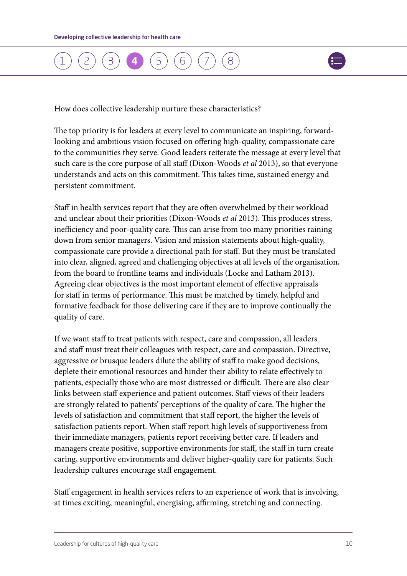

How does collective leadership nurture these characteristics?

The top priority is for leaders at every level to communicate an inspiring, forwardlooking and ambitious vision focused on offering high-quality, compassionate care to the communities they serve. Good leaders reiterate the message at every level that such care is the core purpose of all staff (Dixon-Woods *et al* 2013), so that everyone understands and acts on this commitment. This takes time, sustained energy and persistent commitment.

Staff in health services report that they are often overwhelmed by their workload and unclear about their priorities (Dixon-Woods *et al* 2013). This produces stress, inefficiency and poor-quality care. This can arise from too many priorities raining down from senior managers. Vision and mission statements about high-quality, compassionate care provide a directional path for staff. But they must be translated into clear, aligned, agreed and challenging objectives at all levels of the organisation, from the board to frontline teams and individuals (Locke and Latham 2013). Agreeing clear objectives is the most important element of effective appraisals for staff in terms of performance. This must be matched by timely, helpful and formative feedback for those delivering care if they are to improve continually the quality of care.

If we want staff to treat patients with respect, care and compassion, all leaders and staff must treat their colleagues with respect, care and compassion. Directive, aggressive or brusque leaders dilute the ability of staff to make good decisions, deplete their emotional resources and hinder their ability to relate effectively to patients, especially those who are most distressed or difficult. There are also clear links between staff experience and patient outcomes. Staff views of their leaders are strongly related to patients' perceptions of the quality of care. The higher the levels of satisfaction and commitment that staff report, the higher the levels of satisfaction patients report. When staff report high levels of supportiveness from their immediate managers, patients report receiving better care. If leaders and managers create positive, supportive environments for staff, the staff in turn create caring, supportive environments and deliver higher-quality care for patients. Such leadership cultures encourage staff engagement.

Staff engagement in health services refers to an experience of work that is involving, at times exciting, meaningful, energising, affirming, stretching and connecting.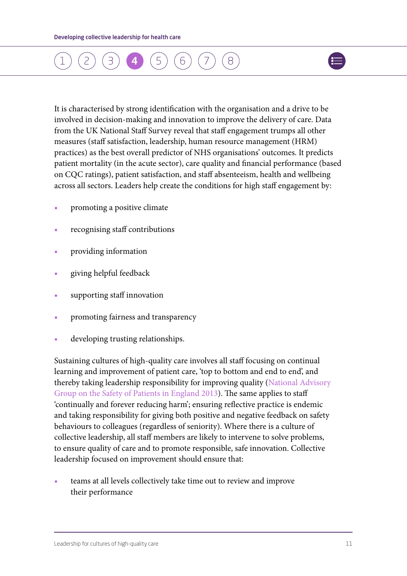### [1](#page-4-0) ) ([2](#page-5-0) ) ([3](#page-7-0) ) ([4](#page-9-0) ) ([5](#page-14-0) ) ([6](#page-17-0) ) ([7](#page-21-0)  $\beta$



It is characterised by strong identification with the organisation and a drive to be involved in decision-making and innovation to improve the delivery of care. Data from the UK National Staff Survey reveal that staff engagement trumps all other measures (staff satisfaction, leadership, human resource management (HRM) practices) as the best overall predictor of NHS organisations' outcomes. It predicts patient mortality (in the acute sector), care quality and financial performance (based on CQC ratings), patient satisfaction, and staff absenteeism, health and wellbeing across all sectors. Leaders help create the conditions for high staff engagement by:

- **•** promoting a positive climate
- **•** recognising staff contributions
- **•** providing information
- **•** giving helpful feedback
- **•** supporting staff innovation
- **•** promoting fairness and transparency
- **•** developing trusting relationships.

Sustaining cultures of high-quality care involves all staff focusing on continual learning and improvement of patient care, 'top to bottom and end to end', and thereby taking leadership responsibility for improving quality ([National Advisory](www.gov.uk/government/publications/berwick-review-into-patient-safety)  [Group on the Safety of Patients in England 2013\)](www.gov.uk/government/publications/berwick-review-into-patient-safety). The same applies to staff 'continually and forever reducing harm'; ensuring reflective practice is endemic and taking responsibility for giving both positive and negative feedback on safety behaviours to colleagues (regardless of seniority). Where there is a culture of collective leadership, all staff members are likely to intervene to solve problems, to ensure quality of care and to promote responsible, safe innovation. Collective leadership focused on improvement should ensure that:

**•** teams at all levels collectively take time out to review and improve their performance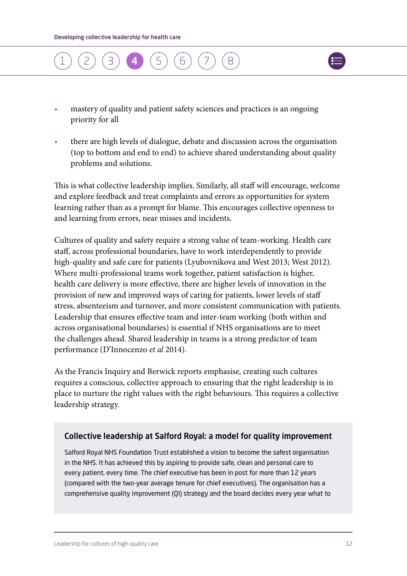



- **•** mastery of quality and patient safety sciences and practices is an ongoing priority for all
- **•** there are high levels of dialogue, debate and discussion across the organisation (top to bottom and end to end) to achieve shared understanding about quality problems and solutions.

This is what collective leadership implies. Similarly, all staff will encourage, welcome and explore feedback and treat complaints and errors as opportunities for system learning rather than as a prompt for blame. This encourages collective openness to and learning from errors, near misses and incidents.

Cultures of quality and safety require a strong value of team-working. Health care staff, across professional boundaries, have to work interdependently to provide high-quality and safe care for patients (Lyubovnikova and West 2013; West 2012). Where multi-professional teams work together, patient satisfaction is higher, health care delivery is more effective, there are higher levels of innovation in the provision of new and improved ways of caring for patients, lower levels of staff stress, absenteeism and turnover, and more consistent communication with patients. Leadership that ensures effective team and inter-team working (both within and across organisational boundaries) is essential if NHS organisations are to meet the challenges ahead. Shared leadership in teams is a strong predictor of team performance (D'Innocenzo *et al* 2014).

As the Francis Inquiry and Berwick reports emphasise, creating such cultures requires a conscious, collective approach to ensuring that the right leadership is in place to nurture the right values with the right behaviours. This requires a collective leadership strategy.

#### Collective leadership at Salford Royal: a model for quality improvement

Salford Royal NHS Foundation Trust established a vision to become the safest organisation in the NHS. It has achieved this by aspiring to provide safe, clean and personal care to every patient, every time. The chief executive has been in post for more than 12 years (compared with the two-year average tenure for chief executives). The organisation has a comprehensive quality improvement (QI) strategy and the board decides every year what to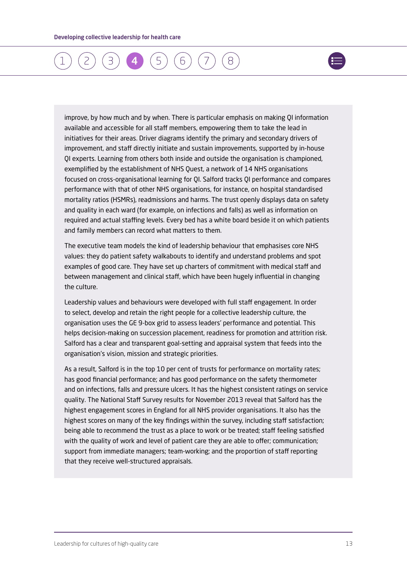

improve, by how much and by when. There is particular emphasis on making QI information available and accessible for all staff members, empowering them to take the lead in initiatives for their areas. Driver diagrams identify the primary and secondary drivers of improvement, and staff directly initiate and sustain improvements, supported by in-house QI experts. Learning from others both inside and outside the organisation is championed, exemplified by the establishment of NHS Quest, a network of 14 NHS organisations focused on cross-organisational learning for QI. Salford tracks QI performance and compares performance with that of other NHS organisations, for instance, on hospital standardised mortality ratios (HSMRs), readmissions and harms. The trust openly displays data on safety and quality in each ward (for example, on infections and falls) as well as information on required and actual staffing levels. Every bed has a white board beside it on which patients and family members can record what matters to them.

The executive team models the kind of leadership behaviour that emphasises core NHS values: they do patient safety walkabouts to identify and understand problems and spot examples of good care. They have set up charters of commitment with medical staff and between management and clinical staff, which have been hugely influential in changing the culture.

Leadership values and behaviours were developed with full staff engagement. In order to select, develop and retain the right people for a collective leadership culture, the organisation uses the GE 9-box grid to assess leaders' performance and potential. This helps decision-making on succession placement, readiness for promotion and attrition risk. Salford has a clear and transparent goal-setting and appraisal system that feeds into the organisation's vision, mission and strategic priorities.

As a result, Salford is in the top 10 per cent of trusts for performance on mortality rates; has good financial performance; and has good performance on the safety thermometer and on infections, falls and pressure ulcers. It has the highest consistent ratings on service quality. The National Staff Survey results for November 2013 reveal that Salford has the highest engagement scores in England for all NHS provider organisations. It also has the highest scores on many of the key findings within the survey, including staff satisfaction; being able to recommend the trust as a place to work or be treated; staff feeling satisfied with the quality of work and level of patient care they are able to offer; communication; support from immediate managers; team-working; and the proportion of staff reporting that they receive well-structured appraisals.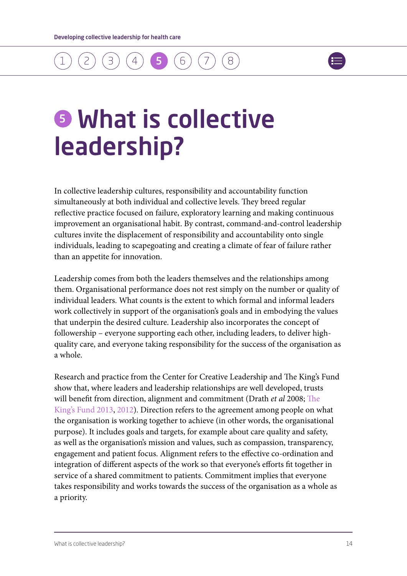### <span id="page-14-0"></span>[1](#page-4-0) ) ([2](#page-5-0) ) ([3](#page-7-0) ) ([4](#page-9-0) ) (**5 )** ([6](#page-17-0) ) ([7](#page-21-0) [8](#page-21-0)



### **6** What is collective leadership?

In collective leadership cultures, responsibility and accountability function simultaneously at both individual and collective levels. They breed regular reflective practice focused on failure, exploratory learning and making continuous improvement an organisational habit. By contrast, command-and-control leadership cultures invite the displacement of responsibility and accountability onto single individuals, leading to scapegoating and creating a climate of fear of failure rather than an appetite for innovation.

Leadership comes from both the leaders themselves and the relationships among them. Organisational performance does not rest simply on the number or quality of individual leaders. What counts is the extent to which formal and informal leaders work collectively in support of the organisation's goals and in embodying the values that underpin the desired culture. Leadership also incorporates the concept of followership – everyone supporting each other, including leaders, to deliver highquality care, and everyone taking responsibility for the success of the organisation as a whole.

Research and practice from the Center for Creative Leadership and The King's Fund show that, where leaders and leadership relationships are well developed, trusts will benefit from direction, alignment and commitment (Drath *et al* 2008; [The](www.kingsfund.org.uk/publications/patient-centred-leadership)  [King's Fund 2013,](www.kingsfund.org.uk/publications/patient-centred-leadership) [2012](www.kingsfund.org.uk/publications/leadership_review_12.html)). Direction refers to the agreement among people on what the organisation is working together to achieve (in other words, the organisational purpose). It includes goals and targets, for example about care quality and safety, as well as the organisation's mission and values, such as compassion, transparency, engagement and patient focus. Alignment refers to the effective co-ordination and integration of different aspects of the work so that everyone's efforts fit together in service of a shared commitment to patients. Commitment implies that everyone takes responsibility and works towards the success of the organisation as a whole as a priority.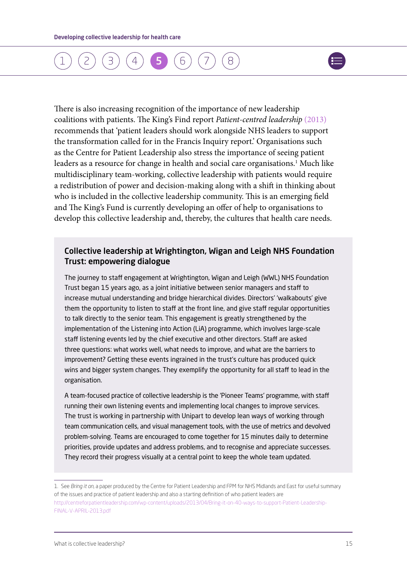### [1](#page-4-0) ) ([2](#page-5-0) ) ([3](#page-7-0) ) ([4](#page-9-0) ) (**[5](#page-14-0) )** ([6](#page-17-0) ) ([7](#page-21-0) [8](#page-21-0)



There is also increasing recognition of the importance of new leadership coalitions with patients. The King's Find report *Patient-centred leadership* [\(2013\)](www.kingsfund.org.uk/publications/patient-centred-leadership) recommends that 'patient leaders should work alongside NHS leaders to support the transformation called for in the Francis Inquiry report.' Organisations such as the Centre for Patient Leadership also stress the importance of seeing patient leaders as a resource for change in health and social care organisations.<sup>1</sup> Much like multidisciplinary team-working, collective leadership with patients would require a redistribution of power and decision-making along with a shift in thinking about who is included in the collective leadership community. This is an emerging field and The King's Fund is currently developing an offer of help to organisations to develop this collective leadership and, thereby, the cultures that health care needs.

#### Collective leadership at Wrightington, Wigan and Leigh NHS Foundation Trust: empowering dialogue

The journey to staff engagement at Wrightington, Wigan and Leigh (WWL) NHS Foundation Trust began 15 years ago, as a joint initiative between senior managers and staff to increase mutual understanding and bridge hierarchical divides. Directors' 'walkabouts' give them the opportunity to listen to staff at the front line, and give staff regular opportunities to talk directly to the senior team. This engagement is greatly strengthened by the implementation of the Listening into Action (LiA) programme, which involves large-scale staff listening events led by the chief executive and other directors. Staff are asked three questions: what works well, what needs to improve, and what are the barriers to improvement? Getting these events ingrained in the trust's culture has produced quick wins and bigger system changes. They exemplify the opportunity for all staff to lead in the organisation.

A team-focused practice of collective leadership is the 'Pioneer Teams' programme, with staff running their own listening events and implementing local changes to improve services. The trust is working in partnership with Unipart to develop lean ways of working through team communication cells, and visual management tools, with the use of metrics and devolved problem-solving. Teams are encouraged to come together for 15 minutes daily to determine priorities, provide updates and address problems, and to recognise and appreciate successes. They record their progress visually at a central point to keep the whole team updated.

<sup>1.</sup> See *Bring it on,* a paper produced by the Centre for Patient Leadership and FPM for NHS Midlands and East for useful summary of the issues and practice of patient leadership and also a starting definition of who patient leaders are [http://centreforpatientleadership.com/wp-content/uploads/2013/04/Bring-it-on-40-ways-to-support-Patient-Leadership-](http://centreforpatientleadership.com/wp-content/uploads/2013/04/Bring-it-on-40-ways-to-support-Patient-Leadership-FINAL-V-APRIL-2013.pdf)[FINAL-V-APRIL-2013.pdf](http://centreforpatientleadership.com/wp-content/uploads/2013/04/Bring-it-on-40-ways-to-support-Patient-Leadership-FINAL-V-APRIL-2013.pdf)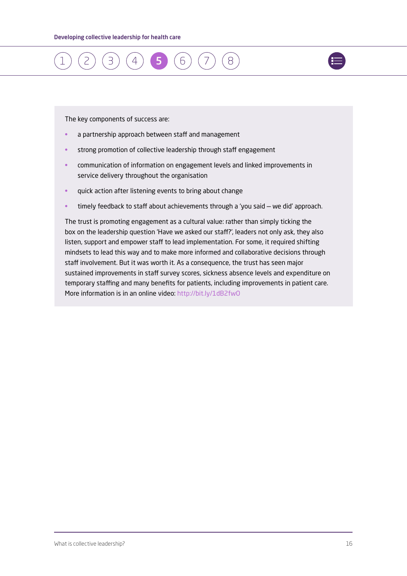



- a partnership approach between staff and management
- strong promotion of collective leadership through staff engagement
- communication of information on engagement levels and linked improvements in service delivery throughout the organisation
- quick action after listening events to bring about change
- timely feedback to staff about achievements through a 'you said we did' approach.

The trust is promoting engagement as a cultural value: rather than simply ticking the box on the leadership question 'Have we asked our staff?', leaders not only ask, they also listen, support and empower staff to lead implementation. For some, it required shifting mindsets to lead this way and to make more informed and collaborative decisions through staff involvement. But it was worth it. As a consequence, the trust has seen major sustained improvements in staff survey scores, sickness absence levels and expenditure on temporary staffing and many benefits for patients, including improvements in patient care. More information is in an online video:<http://bit.ly/1dB2fwO>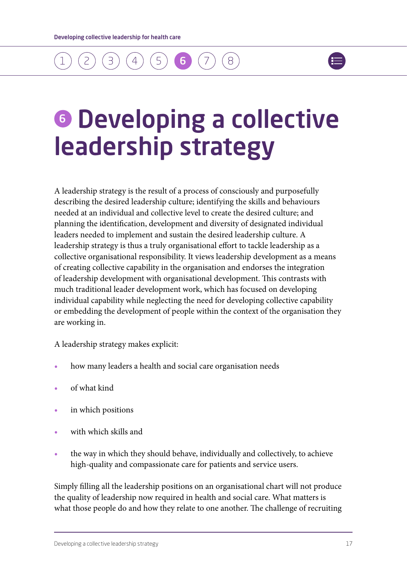### <span id="page-17-0"></span>[1](#page-4-0) ) ([2](#page-5-0) ) ([3](#page-7-0) ) ([4](#page-9-0) ) ([5](#page-14-0) ) **(6 )** ([7](#page-21-0)  $\beta$



### **6 Developing a collective** leadership strategy

A leadership strategy is the result of a process of consciously and purposefully describing the desired leadership culture; identifying the skills and behaviours needed at an individual and collective level to create the desired culture; and planning the identification, development and diversity of designated individual leaders needed to implement and sustain the desired leadership culture. A leadership strategy is thus a truly organisational effort to tackle leadership as a collective organisational responsibility. It views leadership development as a means of creating collective capability in the organisation and endorses the integration of leadership development with organisational development. This contrasts with much traditional leader development work, which has focused on developing individual capability while neglecting the need for developing collective capability or embedding the development of people within the context of the organisation they are working in.

A leadership strategy makes explicit:

- **•** how many leaders a health and social care organisation needs
- **•** of what kind
- **•** in which positions
- **•** with which skills and
- **•** the way in which they should behave, individually and collectively, to achieve high-quality and compassionate care for patients and service users.

Simply filling all the leadership positions on an organisational chart will not produce the quality of leadership now required in health and social care. What matters is what those people do and how they relate to one another. The challenge of recruiting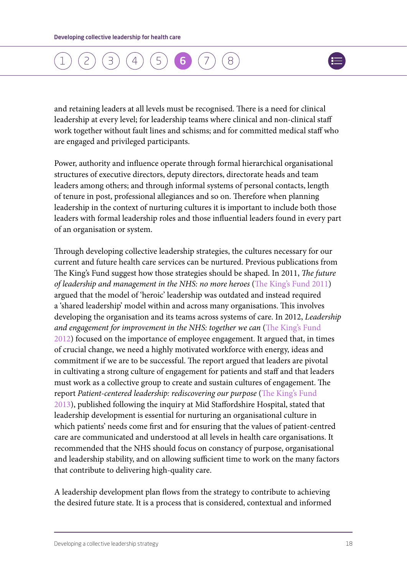### [1](#page-4-0) ) ([2](#page-5-0) ) ([3](#page-7-0) ) ([4](#page-9-0) ) ([5](#page-14-0) ) **([6](#page-17-0) )** ([7](#page-21-0) [8](#page-21-0)



and retaining leaders at all levels must be recognised. There is a need for clinical leadership at every level; for leadership teams where clinical and non-clinical staff work together without fault lines and schisms; and for committed medical staff who are engaged and privileged participants.

Power, authority and influence operate through formal hierarchical organisational structures of executive directors, deputy directors, directorate heads and team leaders among others; and through informal systems of personal contacts, length of tenure in post, professional allegiances and so on. Therefore when planning leadership in the context of nurturing cultures it is important to include both those leaders with formal leadership roles and those influential leaders found in every part of an organisation or system.

Through developing collective leadership strategies, the cultures necessary for our current and future health care services can be nurtured. Previous publications from The King's Fund suggest how those strategies should be shaped. In 2011, *The future of leadership and management in the NHS: no more heroes* ([The King's Fund 2011](www.kingsfund.org.uk/publications/future-leadership-and-management-nhs)) argued that the model of 'heroic' leadership was outdated and instead required a 'shared leadership' model within and across many organisations. This involves developing the organisation and its teams across systems of care. In 2012, *Leadership and engagement for improvement in the NHS: together we can* ([The King's Fund](www.kingsfund.org.uk/publications/leadership_review_12.html)  [2012](www.kingsfund.org.uk/publications/leadership_review_12.html)) focused on the importance of employee engagement. It argued that, in times of crucial change, we need a highly motivated workforce with energy, ideas and commitment if we are to be successful. The report argued that leaders are pivotal in cultivating a strong culture of engagement for patients and staff and that leaders must work as a collective group to create and sustain cultures of engagement. The report *Patient-centered leadership: rediscovering our purpose* ([The King's Fund](www.kingsfund.org.uk/publications/patient-centred-leadership)  [2013](www.kingsfund.org.uk/publications/patient-centred-leadership)), published following the inquiry at Mid Staffordshire Hospital, stated that leadership development is essential for nurturing an organisational culture in which patients' needs come first and for ensuring that the values of patient-centred care are communicated and understood at all levels in health care organisations. It recommended that the NHS should focus on constancy of purpose, organisational and leadership stability, and on allowing sufficient time to work on the many factors that contribute to delivering high-quality care.

A leadership development plan flows from the strategy to contribute to achieving the desired future state. It is a process that is considered, contextual and informed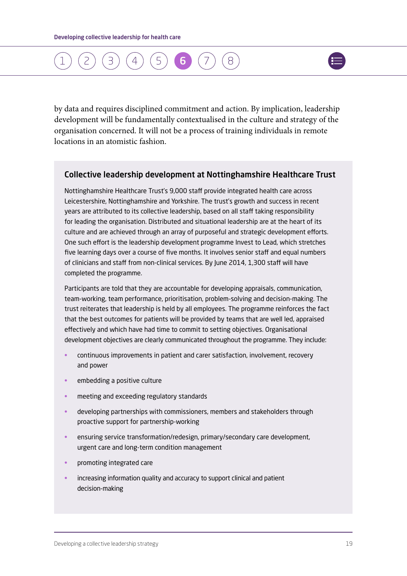### [1](#page-4-0) ) ([2](#page-5-0) ) ([3](#page-7-0) ) ([4](#page-9-0) ) ([5](#page-14-0) ) **([6](#page-17-0) )** ([7](#page-21-0)  $\alpha$



by data and requires disciplined commitment and action. By implication, leadership development will be fundamentally contextualised in the culture and strategy of the organisation concerned. It will not be a process of training individuals in remote locations in an atomistic fashion.

#### Collective leadership development at Nottinghamshire Healthcare Trust

Nottinghamshire Healthcare Trust's 9,000 staff provide integrated health care across Leicestershire, Nottinghamshire and Yorkshire. The trust's growth and success in recent years are attributed to its collective leadership, based on all staff taking responsibility for leading the organisation. Distributed and situational leadership are at the heart of its culture and are achieved through an array of purposeful and strategic development efforts. One such effort is the leadership development programme Invest to Lead, which stretches five learning days over a course of five months. It involves senior staff and equal numbers of clinicians and staff from non-clinical services. By June 2014, 1,300 staff will have completed the programme.

Participants are told that they are accountable for developing appraisals, communication, team-working, team performance, prioritisation, problem-solving and decision-making. The trust reiterates that leadership is held by all employees. The programme reinforces the fact that the best outcomes for patients will be provided by teams that are well led, appraised effectively and which have had time to commit to setting objectives. Organisational development objectives are clearly communicated throughout the programme. They include:

- continuous improvements in patient and carer satisfaction, involvement, recovery and power
- embedding a positive culture
- meeting and exceeding regulatory standards
- developing partnerships with commissioners, members and stakeholders through proactive support for partnership-working
- ensuring service transformation/redesign, primary/secondary care development, urgent care and long-term condition management
- promoting integrated care
- increasing information quality and accuracy to support clinical and patient decision-making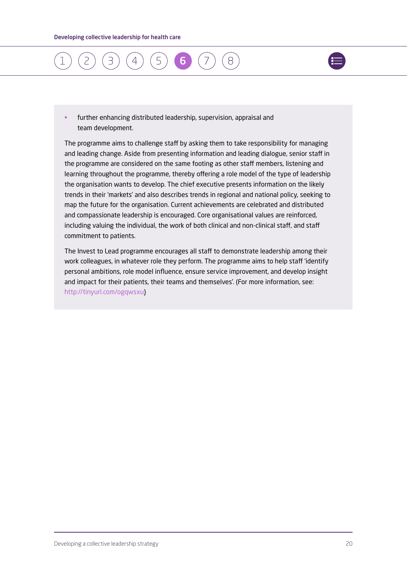



• further enhancing distributed leadership, supervision, appraisal and team development.

The programme aims to challenge staff by asking them to take responsibility for managing and leading change. Aside from presenting information and leading dialogue, senior staff in the programme are considered on the same footing as other staff members, listening and learning throughout the programme, thereby offering a role model of the type of leadership the organisation wants to develop. The chief executive presents information on the likely trends in their 'markets' and also describes trends in regional and national policy, seeking to map the future for the organisation. Current achievements are celebrated and distributed and compassionate leadership is encouraged. Core organisational values are reinforced, including valuing the individual, the work of both clinical and non-clinical staff, and staff commitment to patients.

The Invest to Lead programme encourages all staff to demonstrate leadership among their work colleagues, in whatever role they perform. The programme aims to help staff 'identify personal ambitions, role model influence, ensure service improvement, and develop insight and impact for their patients, their teams and themselves'. (For more information, see: [http://tinyurl.com/ogqwsxu\)](http://tinyurl.com/ogqwsxu)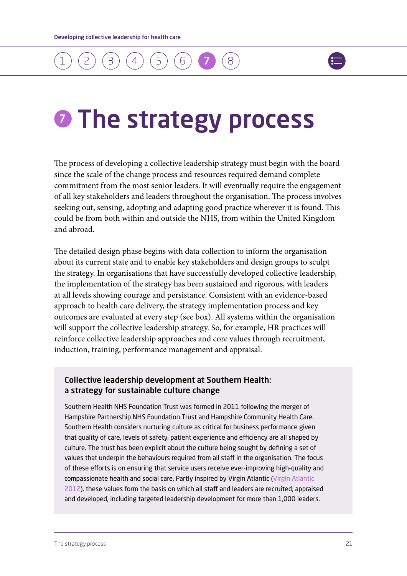### <span id="page-21-0"></span>[1](#page-4-0) ) ( [2](#page-5-0) ) ( [3](#page-7-0) ) ( [4](#page-9-0) ) ( [5](#page-14-0) ) ( [6](#page-17-0) ) ( 7 8



## **O** The strategy process

The process of developing a collective leadership strategy must begin with the board since the scale of the change process and resources required demand complete commitment from the most senior leaders. It will eventually require the engagement of all key stakeholders and leaders throughout the organisation. The process involves seeking out, sensing, adopting and adapting good practice wherever it is found. This could be from both within and outside the NHS, from within the United Kingdom and abroad.

The detailed design phase begins with data collection to inform the organisation about its current state and to enable key stakeholders and design groups to sculpt the strategy. In organisations that have successfully developed collective leadership, the implementation of the strategy has been sustained and rigorous, with leaders at all levels showing courage and persistance. Consistent with an evidence-based approach to health care delivery, the strategy implementation process and key outcomes are evaluated at every step (see box). All systems within the organisation will support the collective leadership strategy. So, for example, HR practices will reinforce collective leadership approaches and core values through recruitment, induction, training, performance management and appraisal.

#### Collective leadership development at Southern Health: a strategy for sustainable culture change

Southern Health NHS Foundation Trust was formed in 2011 following the merger of Hampshire Partnership NHS Foundation Trust and Hampshire Community Health Care. Southern Health considers nurturing culture as critical for business performance given that quality of care, levels of safety, patient experience and efficiency are all shaped by culture. The trust has been explicit about the culture being sought by defining a set of values that underpin the behaviours required from all staff in the organisation. The focus of these efforts is on ensuring that service users receive ever-improving high-quality and compassionate health and social care. Partly inspired by Virgin Atlantic ([Virgin Atlantic](http://careersuk.virgin-atlantic.com/life-at-virgin-atlantic/culture.html)  [2012\)](http://careersuk.virgin-atlantic.com/life-at-virgin-atlantic/culture.html), these values form the basis on which all staff and leaders are recruited, appraised and developed, including targeted leadership development for more than 1,000 leaders.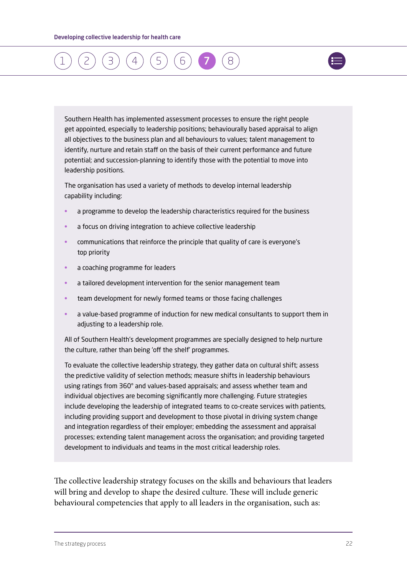### [1](#page-4-0) ) ( [2](#page-5-0) ) ( [3](#page-7-0) ) ( [4](#page-9-0) ) ( [5](#page-14-0) ) ( [6](#page-17-0) ) ( [7](#page-21-0)  $\alpha$



Southern Health has implemented assessment processes to ensure the right people get appointed, especially to leadership positions; behaviourally based appraisal to align all objectives to the business plan and all behaviours to values; talent management to identify, nurture and retain staff on the basis of their current performance and future potential; and succession-planning to identify those with the potential to move into leadership positions.

The organisation has used a variety of methods to develop internal leadership capability including:

- a programme to develop the leadership characteristics required for the business
- a focus on driving integration to achieve collective leadership
- communications that reinforce the principle that quality of care is everyone's top priority
- a coaching programme for leaders
- a tailored development intervention for the senior management team
- team development for newly formed teams or those facing challenges
- a value-based programme of induction for new medical consultants to support them in adjusting to a leadership role.

All of Southern Health's development programmes are specially designed to help nurture the culture, rather than being 'off the shelf' programmes.

To evaluate the collective leadership strategy, they gather data on cultural shift; assess the predictive validity of selection methods; measure shifts in leadership behaviours using ratings from 360° and values-based appraisals; and assess whether team and individual objectives are becoming significantly more challenging. Future strategies include developing the leadership of integrated teams to co-create services with patients, including providing support and development to those pivotal in driving system change and integration regardless of their employer; embedding the assessment and appraisal processes; extending talent management across the organisation; and providing targeted development to individuals and teams in the most critical leadership roles.

The collective leadership strategy focuses on the skills and behaviours that leaders will bring and develop to shape the desired culture. These will include generic behavioural competencies that apply to all leaders in the organisation, such as: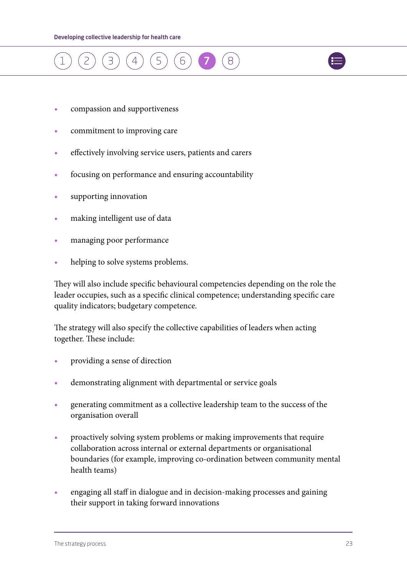



- **•** compassion and supportiveness
- **•** commitment to improving care
- **•** effectively involving service users, patients and carers
- **•** focusing on performance and ensuring accountability
- **•** supporting innovation
- **•** making intelligent use of data
- **•** managing poor performance
- **•** helping to solve systems problems.

They will also include specific behavioural competencies depending on the role the leader occupies, such as a specific clinical competence; understanding specific care quality indicators; budgetary competence.

The strategy will also specify the collective capabilities of leaders when acting together. These include:

- **•** providing a sense of direction
- **•** demonstrating alignment with departmental or service goals
- **•** generating commitment as a collective leadership team to the success of the organisation overall
- **•** proactively solving system problems or making improvements that require collaboration across internal or external departments or organisational boundaries (for example, improving co-ordination between community mental health teams)
- **•** engaging all staff in dialogue and in decision-making processes and gaining their support in taking forward innovations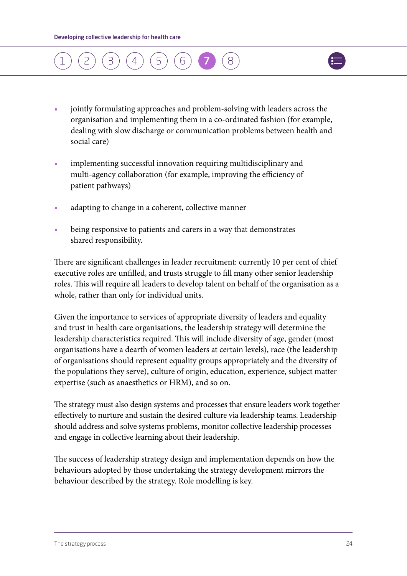

- **•** jointly formulating approaches and problem-solving with leaders across the organisation and implementing them in a co-ordinated fashion (for example, dealing with slow discharge or communication problems between health and social care)
- **•** implementing successful innovation requiring multidisciplinary and multi-agency collaboration (for example, improving the efficiency of patient pathways)
- **•** adapting to change in a coherent, collective manner
- **•** being responsive to patients and carers in a way that demonstrates shared responsibility.

There are significant challenges in leader recruitment: currently 10 per cent of chief executive roles are unfilled, and trusts struggle to fill many other senior leadership roles. This will require all leaders to develop talent on behalf of the organisation as a whole, rather than only for individual units.

Given the importance to services of appropriate diversity of leaders and equality and trust in health care organisations, the leadership strategy will determine the leadership characteristics required. This will include diversity of age, gender (most organisations have a dearth of women leaders at certain levels), race (the leadership of organisations should represent equality groups appropriately and the diversity of the populations they serve), culture of origin, education, experience, subject matter expertise (such as anaesthetics or HRM), and so on.

The strategy must also design systems and processes that ensure leaders work together effectively to nurture and sustain the desired culture via leadership teams. Leadership should address and solve systems problems, monitor collective leadership processes and engage in collective learning about their leadership.

The success of leadership strategy design and implementation depends on how the behaviours adopted by those undertaking the strategy development mirrors the behaviour described by the strategy. Role modelling is key.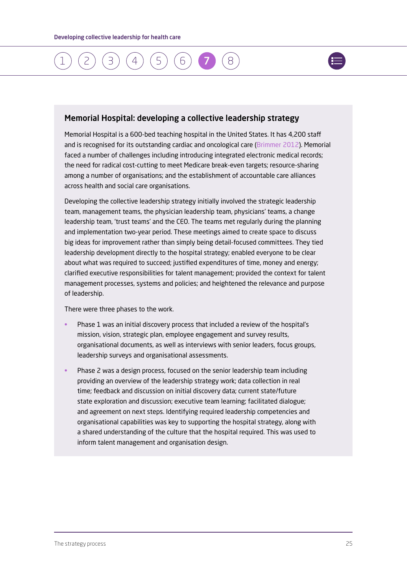### [1](#page-4-0) ) ( [2](#page-5-0) ) ( [3](#page-7-0) ) ( [4](#page-9-0) ) ( [5](#page-14-0) ) ( [6](#page-17-0) ) ( [7](#page-21-0)  $\alpha$



#### Memorial Hospital: developing a collective leadership strategy

Memorial Hospital is a 600-bed teaching hospital in the United States. It has 4,200 staff and is recognised for its outstanding cardiac and oncological care ([Brimmer 2012](www.healthcareitnews.com/news/top-100-hospitals-named-thomson-reuters)). Memorial faced a number of challenges including introducing integrated electronic medical records; the need for radical cost-cutting to meet Medicare break-even targets; resource-sharing among a number of organisations; and the establishment of accountable care alliances across health and social care organisations.

Developing the collective leadership strategy initially involved the strategic leadership team, management teams, the physician leadership team, physicians' teams, a change leadership team, 'trust teams' and the CEO. The teams met regularly during the planning and implementation two-year period. These meetings aimed to create space to discuss big ideas for improvement rather than simply being detail-focused committees. They tied leadership development directly to the hospital strategy; enabled everyone to be clear about what was required to succeed; justified expenditures of time, money and energy; clarified executive responsibilities for talent management; provided the context for talent management processes, systems and policies; and heightened the relevance and purpose of leadership.

There were three phases to the work.

- Phase 1 was an initial discovery process that included a review of the hospital's mission, vision, strategic plan, employee engagement and survey results, organisational documents, as well as interviews with senior leaders, focus groups, leadership surveys and organisational assessments.
- Phase 2 was a design process, focused on the senior leadership team including providing an overview of the leadership strategy work; data collection in real time; feedback and discussion on initial discovery data; current state/future state exploration and discussion; executive team learning; facilitated dialogue; and agreement on next steps. Identifying required leadership competencies and organisational capabilities was key to supporting the hospital strategy, along with a shared understanding of the culture that the hospital required. This was used to inform talent management and organisation design.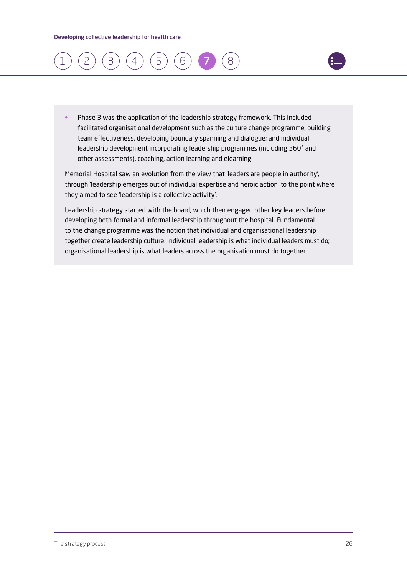

• Phase 3 was the application of the leadership strategy framework. This included facilitated organisational development such as the culture change programme, building team effectiveness, developing boundary spanning and dialogue; and individual leadership development incorporating leadership programmes (including 360˚ and other assessments), coaching, action learning and elearning.

Memorial Hospital saw an evolution from the view that 'leaders are people in authority', through 'leadership emerges out of individual expertise and heroic action' to the point where they aimed to see 'leadership is a collective activity'.

Leadership strategy started with the board, which then engaged other key leaders before developing both formal and informal leadership throughout the hospital. Fundamental to the change programme was the notion that individual and organisational leadership together create leadership culture. Individual leadership is what individual leaders must do; organisational leadership is what leaders across the organisation must do together.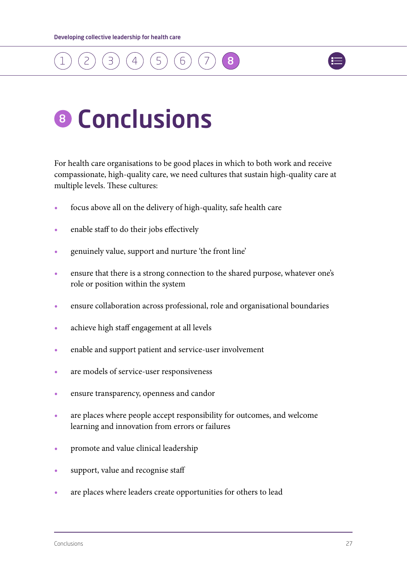



## 8 Conclusions

For health care organisations to be good places in which to both work and receive compassionate, high-quality care, we need cultures that sustain high-quality care at multiple levels. These cultures:

- **•** focus above all on the delivery of high-quality, safe health care
- enable staff to do their jobs effectively
- **•** genuinely value, support and nurture 'the front line'
- ensure that there is a strong connection to the shared purpose, whatever one's role or position within the system
- **•** ensure collaboration across professional, role and organisational boundaries
- achieve high staff engagement at all levels
- **•** enable and support patient and service-user involvement
- **•** are models of service-user responsiveness
- **•** ensure transparency, openness and candor
- **•** are places where people accept responsibility for outcomes, and welcome learning and innovation from errors or failures
- promote and value clinical leadership
- **•** support, value and recognise staff
- **•** are places where leaders create opportunities for others to lead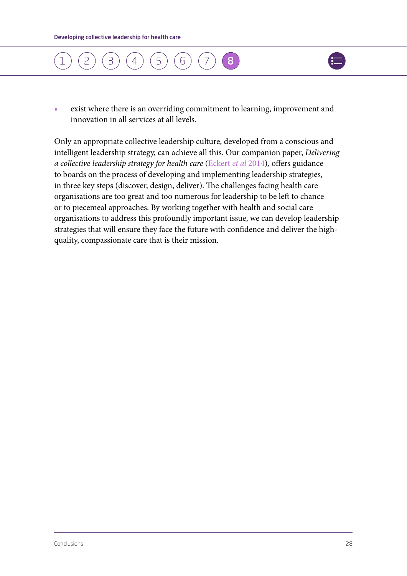



**•** exist where there is an overriding commitment to learning, improvement and innovation in all services at all levels.

Only an appropriate collective leadership culture, developed from a conscious and intelligent leadership strategy, can achieve all this. Our companion paper, *Delivering a collective leadership strategy for health care* ([Eckert](www.kingsfund.org.uk/collectiveleadershipdelivery) *et al* 2014)*,* offers guidance to boards on the process of developing and implementing leadership strategies, in three key steps (discover, design, deliver). The challenges facing health care organisations are too great and too numerous for leadership to be left to chance or to piecemeal approaches. By working together with health and social care organisations to address this profoundly important issue, we can develop leadership strategies that will ensure they face the future with confidence and deliver the highquality, compassionate care that is their mission.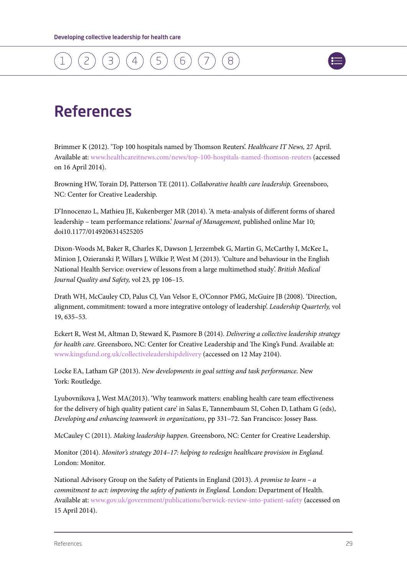<span id="page-29-0"></span>



### References

Brimmer K (2012). 'Top 100 hospitals named by Thomson Reuters'. *Healthcare IT News,* 27 April. Available at: [www.healthcareitnews.com/news/top-100-hospitals-named-thomson-reuters](http://www.healthcareitnews.com/news/top-100-hospitals-named-thomson-reuters) (accessed on 16 April 2014).

Browning HW, Torain DJ, Patterson TE (2011). *Collaborative health care leadership.* Greensboro, NC: Center for Creative Leadership.

D'Innocenzo L, Mathieu JE, Kukenberger MR (2014). 'A meta-analysis of different forms of shared leadership – team performance relations.' *Journal of Management,* published online Mar 10; doi10.1177/0149206314525205

Dixon-Woods M, Baker R, Charles K, Dawson J, Jerzembek G, Martin G, McCarthy I, McKee L, Minion J, Ozieranski P, Willars J, Wilkie P, West M (2013). 'Culture and behaviour in the English National Health Service: overview of lessons from a large multimethod study'. *British Medical Journal Quality and Safety,* vol 23*,* pp 106–15.

Drath WH, McCauley CD, Palus CJ, Van Velsor E, O'Connor PMG, McGuire JB (2008). 'Direction, alignment, commitment: toward a more integrative ontology of leadership'. *Leadership Quarterly,* vol 19, 635–53*.*

Eckert R, West M, Altman D, Steward K, Pasmore B (2014). *Delivering a collective leadership strategy for health care*. Greensboro, NC: Center for Creative Leadership and The King's Fund. Available at: www.kingsfund.org.uk/collectiveleadershipdelivery (accessed on 12 May 2104).

Locke EA, Latham GP (2013). *New developments in goal setting and task performance*. New York: Routledge.

Lyubovnikova J, West MA(2013). 'Why teamwork matters: enabling health care team effectiveness for the delivery of high quality patient care' in Salas E, Tannembaum SI, Cohen D, Latham G (eds), *Developing and enhancing teamwork in organizations*, pp 331–72. San Francisco: Jossey Bass.

McCauley C (2011). *Making leadership happen.* Greensboro, NC: Center for Creative Leadership.

Monitor (2014). *Monitor's strategy 2014–17: helping to redesign healthcare provision in England.*  London: Monitor.

National Advisory Group on the Safety of Patients in England (2013). *A promise to learn – a commitment to act: improving the safety of patients in England.* London: Department of Health. Available at: [www.gov.uk/government/publications/berwick-review-into-patient-safety](http://www.gov.uk/government/publications/berwick-review-into-patient-safety) (accessed on 15 April 2014).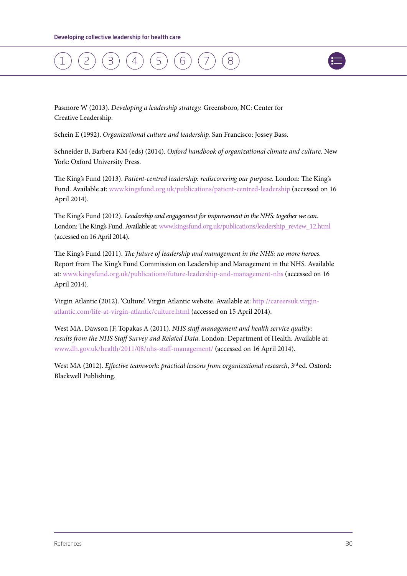

Pasmore W (2013). *Developing a leadership strategy.* Greensboro, NC: Center for Creative Leadership.

Schein E (1992). *Organizational culture and leadership.* San Francisco: Jossey Bass.

Schneider B, Barbera KM (eds) (2014). *Oxford handbook of organizational climate and culture*. New York: Oxford University Press.

The King's Fund (2013). *Patient-centred leadership: rediscovering our purpose.* London: The King's Fund. Available at: [www.kingsfund.org.uk/publications/patient-centred-leadership](http://www.kingsfund.org.uk/publications/patient-centred-leadership) (accessed on 16 April 2014).

The King's Fund (2012). *Leadership and engagement for improvement in the NHS: together we can.*  London: The King's Fund. Available at: [www.kingsfund.org.uk/publications/leadership\\_review\\_12.html](http://www.kingsfund.org.uk/publications/leadership_review_12.html) (accessed on 16 April 2014).

The King's Fund (2011). *The future of leadership and management in the NHS: no more heroes*. Report from The King's Fund Commission on Leadership and Management in the NHS*.* Available at: [www.kingsfund.org.uk/publications/future-leadership-and-management-nhs](http://www.kingsfund.org.uk/publications/future-leadership-and-management-nhs) (accessed on 16 April 2014).

Virgin Atlantic (2012). 'Culture'. Virgin Atlantic website. Available at: [http://careersuk.virgin](http://careersuk.virgin-atlantic.com/life-at-virgin-atlantic/culture.html)[atlantic.com/life-at-virgin-atlantic/culture.html](http://careersuk.virgin-atlantic.com/life-at-virgin-atlantic/culture.html) (accessed on 15 April 2014).

West MA, Dawson JF, Topakas A (2011). *NHS staff management and health service quality: results from the NHS Staff Survey and Related Data*. London: Department of Health. Available at: [www.dh.gov.uk/health/2011/08/nhs-staff-management](http://www.dh.gov.uk/health/2011/08/nhs-staff-management)[/](http://www.dh.gov.uk/health/2011/08/nhs-staff-management/) (accessed on 16 April 2014).

West MA (2012). *Effective teamwork: practical lessons from organizational research*, 3<sup>rd</sup> ed. Oxford: Blackwell Publishing.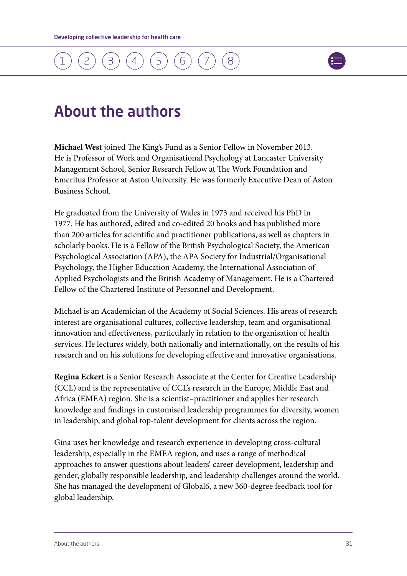

### <span id="page-31-0"></span>About the authors

**Michael West** joined The King's Fund as a Senior Fellow in November 2013. He is Professor of Work and Organisational Psychology at Lancaster University Management School, Senior Research Fellow at The Work Foundation and Emeritus Professor at Aston University. He was formerly Executive Dean of Aston Business School.

He graduated from the University of Wales in 1973 and received his PhD in 1977. He has authored, edited and co-edited 20 books and has published more than 200 articles for scientific and practitioner publications, as well as chapters in scholarly books. He is a Fellow of the British Psychological Society, the American Psychological Association (APA), the APA Society for Industrial/Organisational Psychology, the Higher Education Academy, the International Association of Applied Psychologists and the British Academy of Management. He is a Chartered Fellow of the Chartered Institute of Personnel and Development.

Michael is an Academician of the Academy of Social Sciences. His areas of research interest are organisational cultures, collective leadership, team and organisational innovation and effectiveness, particularly in relation to the organisation of health services. He lectures widely, both nationally and internationally, on the results of his research and on his solutions for developing effective and innovative organisations.

**Regina Eckert** is a Senior Research Associate at the Center for Creative Leadership (CCL) and is the representative of CCL's research in the Europe, Middle East and Africa (EMEA) region. She is a scientist–practitioner and applies her research knowledge and findings in customised leadership programmes for diversity, women in leadership, and global top-talent development for clients across the region.

Gina uses her knowledge and research experience in developing cross-cultural leadership, especially in the EMEA region, and uses a range of methodical approaches to answer questions about leaders' career development, leadership and gender, globally responsible leadership, and leadership challenges around the world. She has managed the development of Global6, a new 360-degree feedback tool for global leadership.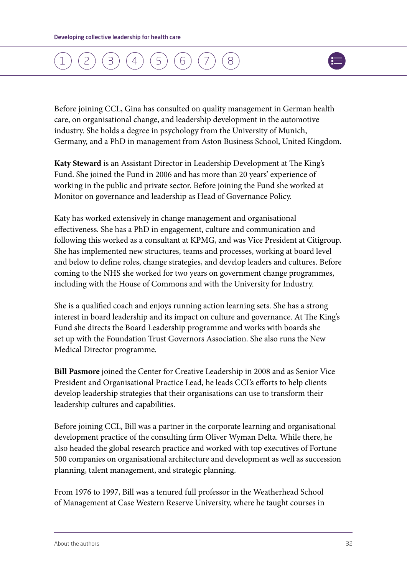

Before joining CCL, Gina has consulted on quality management in German health care, on organisational change, and leadership development in the automotive industry. She holds a degree in psychology from the University of Munich, Germany, and a PhD in management from Aston Business School, United Kingdom.

**Katy Steward** is an Assistant Director in Leadership Development at The King's Fund. She joined the Fund in 2006 and has more than 20 years' experience of working in the public and private sector. Before joining the Fund she worked at Monitor on governance and leadership as Head of Governance Policy.

Katy has worked extensively in change management and organisational effectiveness. She has a PhD in engagement, culture and communication and following this worked as a consultant at KPMG, and was Vice President at Citigroup. She has implemented new structures, teams and processes, working at board level and below to define roles, change strategies, and develop leaders and cultures. Before coming to the NHS she worked for two years on government change programmes, including with the House of Commons and with the University for Industry.

She is a qualified coach and enjoys running action learning sets. She has a strong interest in board leadership and its impact on culture and governance. At The King's Fund she directs the Board Leadership programme and works with boards she set up with the Foundation Trust Governors Association. She also runs the New Medical Director programme.

**Bill Pasmore** joined the Center for Creative Leadership in 2008 and as Senior Vice President and Organisational Practice Lead, he leads CCL's efforts to help clients develop leadership strategies that their organisations can use to transform their leadership cultures and capabilities.

Before joining CCL, Bill was a partner in the corporate learning and organisational development practice of the consulting firm Oliver Wyman Delta. While there, he also headed the global research practice and worked with top executives of Fortune 500 companies on organisational architecture and development as well as succession planning, talent management, and strategic planning.

From 1976 to 1997, Bill was a tenured full professor in the Weatherhead School of Management at Case Western Reserve University, where he taught courses in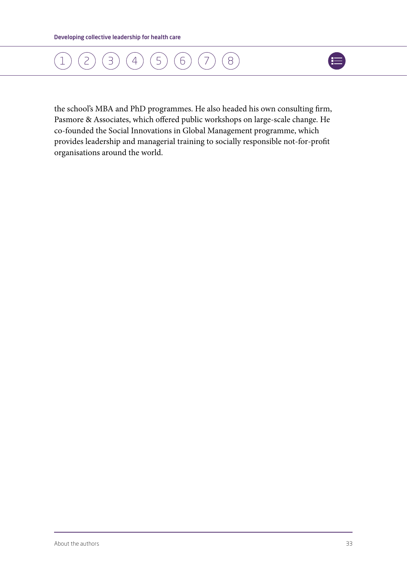### [1](#page-4-0) ) ( [2](#page-5-0) ) ( [3](#page-7-0) ) ( [4](#page-9-0) ) ( [5](#page-14-0) ) ( [6](#page-17-0) ) ( [7](#page-21-0)  $(8)$  $(8)$  $(8)$



the school's MBA and PhD programmes. He also headed his own consulting firm, Pasmore & Associates, which offered public workshops on large-scale change. He co-founded the Social Innovations in Global Management programme, which provides leadership and managerial training to socially responsible not‐for‐profit organisations around the world.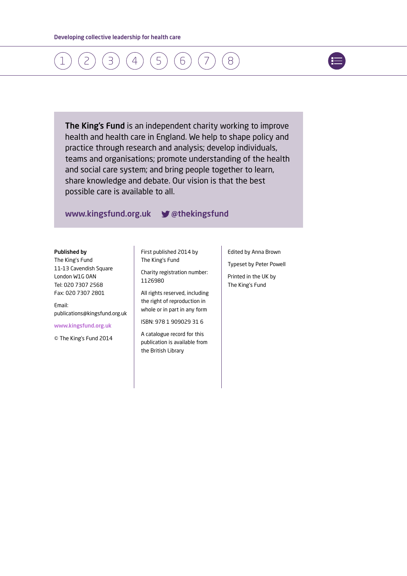

The King's Fund is an independent charity working to improve health and health care in England. We help to shape policy and practice through research and analysis; develop individuals, teams and organisations; promote understanding of the health and social care system; and bring people together to learn, share knowledge and debate. Our vision is that the best possible care is available to all.

#### www.kingsfund.org.uk **W** @thekingsfund

#### Published by

The King's Fund 11–13 Cavendish Square London W1G 0AN Tel: 020 7307 2568 Fax: 020 7307 2801

Email: publications@kingsfund.org.uk

[www.kingsfund.org.uk](http://www.kingsfund.org.uk)

© The King's Fund 2014

First published 2014 by The King's Fund

Charity registration number: 1126980

All rights reserved, including the right of reproduction in whole or in part in any form

ISBN: 978 1 909029 31 6

A catalogue record for this publication is available from the British Library

Edited by Anna Brown

Typeset by Peter Powell

Printed in the UK by The King's Fund